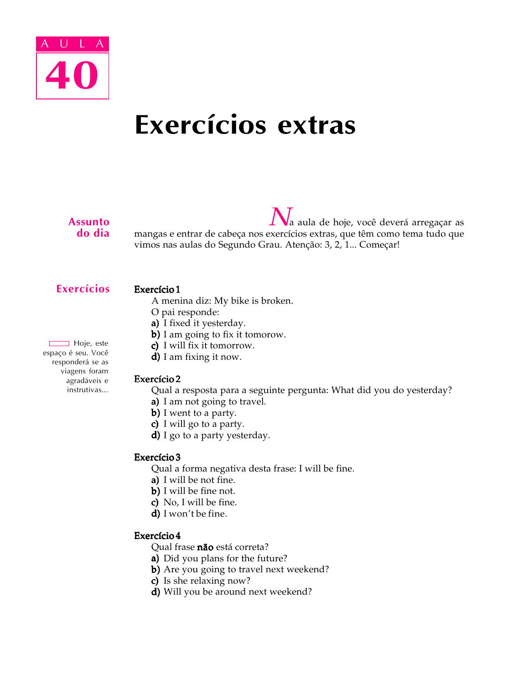

# Exercícios extras

#### Assunto do dia

a aula de hoje, você deverá arregaçar as mangas e entrar de cabeça nos exercícios extras, que têm como tema tudo que vimos nas aulas do Segundo Grau. Atenção: 3, 2, 1... Começar!

# Exercícios

#### Exercício 1

- A menina diz: My bike is broken.
- O pai responde:
- a) I fixed it yesterday.
- b) I am going to fix it tomorow.
- c) I will fix it tomorrow.
- $d$ ) I am fixing it now.

# Exercício 2

- Qual a resposta para a seguinte pergunta: What did you do yesterday?
- a) I am not going to travel.
- $b)$  I went to a party.
- c) I will go to a party.
- $d)$  I go to a party yesterday.

# Exercício 3

Qual a forma negativa desta frase: I will be fine.

- a) I will be not fine.
- $b)$  I will be fine not.
- c) No, I will be fine.
- $d)$  I won't be fine.

#### Exercício 4

Qual frase não está correta?

- a) Did you plans for the future?
- b) Are you going to travel next weekend?
- c) Is she relaxing now?
- d) Will you be around next weekend?

Hoje, este espaço é seu. Você responderá se as viagens foram agradáveis e instrutivas...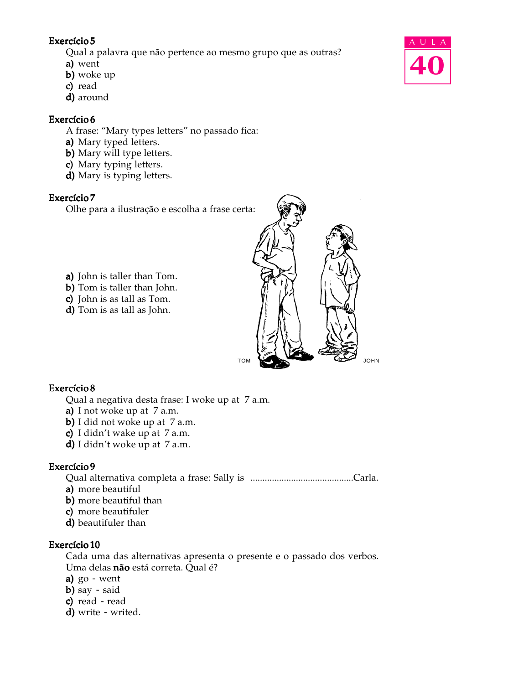Qual a palavra que não pertence ao mesmo grupo que as outras?

- a) went
- $b)$  woke up
- c) read
- d) around

# Exercício 6

A frase: "Mary types letters" no passado fica:

- a) Mary typed letters.
- b) Mary will type letters.
- c) Mary typing letters.
- d) Mary is typing letters.

# Exercício 7

Olhe para a ilustração e escolha a frase certa:

- a) John is taller than Tom.
- b) Tom is taller than John.
- c) John is as tall as Tom.
- d) Tom is as tall as John.



#### Exercício 8

Qual a negativa desta frase: I woke up at 7 a.m.

- a) I not woke up at  $7$  a.m.
- b) I did not woke up at  $7$  a.m.
- c) I didn't wake up at  $7$  a.m.
- d) I didn't woke up at  $7$  a.m.

# Exercício 9

Qual alternativa completa a frase: Sally is ...........................................Carla.

- a) more beautiful
- b) more beautiful than
- c) more beautifuler
- d) beautifuler than

#### Exercício 10

Cada uma das alternativas apresenta o presente e o passado dos verbos. Uma delas não está correta. Qual é?

- a)  $go went$
- b) say said
- $c)$  read read
- $d)$  write writed.

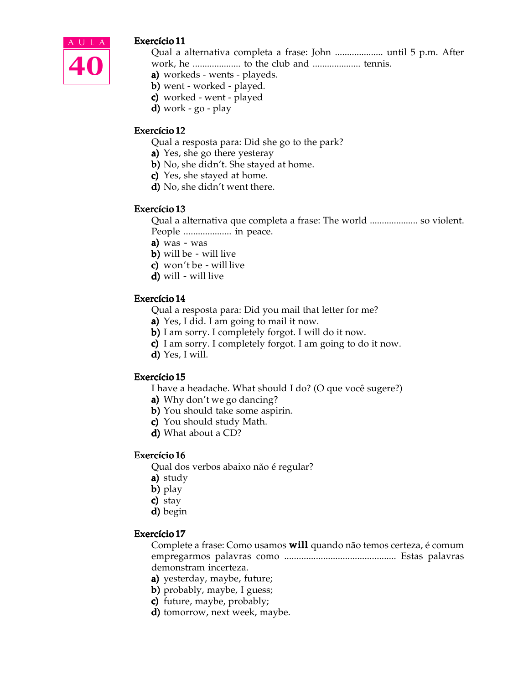

Qual a alternativa completa a frase: John .................... until 5 p.m. After work, he .................... to the club and .................... tennis.

- a) workeds wents playeds.
- b) went worked played.
- c) worked went played
- d) work  $g_0$   $p$ lay

#### Exercício 12

Qual a resposta para: Did she go to the park?

- a) Yes, she go there yesteray
- b) No, she didn't. She stayed at home.
- c) Yes, she stayed at home.
- d) No, she didn't went there.

#### Exercício 13

Qual a alternativa que completa a frase: The world .................... so violent. People .................... in peace.

- a) was  $-$  was
- **b)** will be  $-$  will live
- c) won't be  $-$  will live
- $d)$  will will live

#### Exercício 14

Qual a resposta para: Did you mail that letter for me?

- a) Yes, I did. I am going to mail it now.
- **b**) I am sorry. I completely forgot. I will do it now.
- c) I am sorry. I completely forgot. I am going to do it now.
- $d)$  Yes, I will.

#### Exercício 15

- I have a headache. What should I do? (O que você sugere?)
- a) Why don't we go dancing?
- b) You should take some aspirin.
- c) You should study Math.
- d) What about a CD?

#### Exercício 16

Qual dos verbos abaixo não é regular?

- a) study
- b) play
- c) stay
- d) begin

#### Exercício 17

Complete a frase: Como usamos will quando não temos certeza, é comum empregarmos palavras como .............................................. Estas palavras demonstram incerteza.

- a) yesterday, maybe, future;
- **b**) probably, maybe, I guess;
- c) future, maybe, probably;
- d) tomorrow, next week, maybe.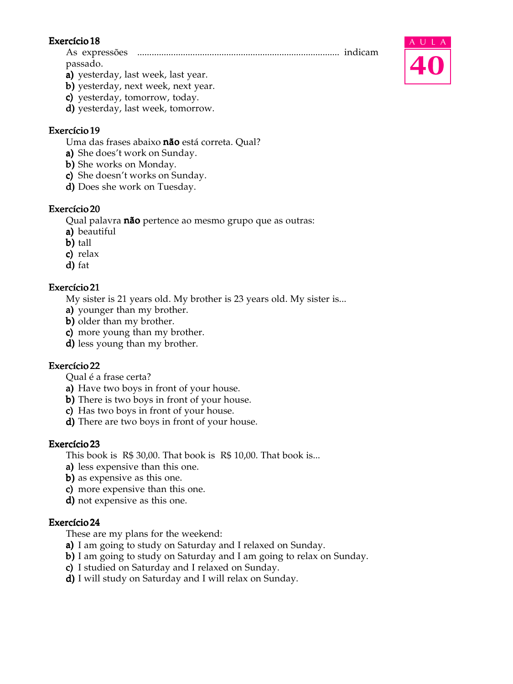As expressões .................................................................................... indicam passado.

- a) yesterday, last week, last year.
- b) yesterday, next week, next year.
- c) yesterday, tomorrow, today.
- d) yesterday, last week, tomorrow.

#### Exercício 19

Uma das frases abaixo não está correta. Qual?

- a) She does't work on Sunday.
- b) She works on Monday.
- c) She doesn't works on Sunday.
- d) Does she work on Tuesday.

#### Exercício 20

Qual palavra **não** pertence ao mesmo grupo que as outras:

- a) beautiful
- b) tall
- $c)$  relax
- d) fat

#### Exercício 21

My sister is 21 years old. My brother is 23 years old. My sister is...

- a) younger than my brother.
- b) older than my brother.
- c) more young than my brother.
- d) less young than my brother.

#### Exercício 22

Qual é a frase certa?

- a) Have two boys in front of your house.
- b) There is two boys in front of your house.
- c) Has two boys in front of your house.
- d) There are two boys in front of your house.

#### Exercício 23

This book is R\$ 30,00. That book is R\$ 10,00. That book is...

- a) less expensive than this one.
- **b**) as expensive as this one.
- c) more expensive than this one.
- $d$ ) not expensive as this one.

#### Exercício 24

These are my plans for the weekend:

- a) I am going to study on Saturday and I relaxed on Sunday.
- b) I am going to study on Saturday and I am going to relax on Sunday.
- c) I studied on Saturday and I relaxed on Sunday.
- d) I will study on Saturday and I will relax on Sunday.

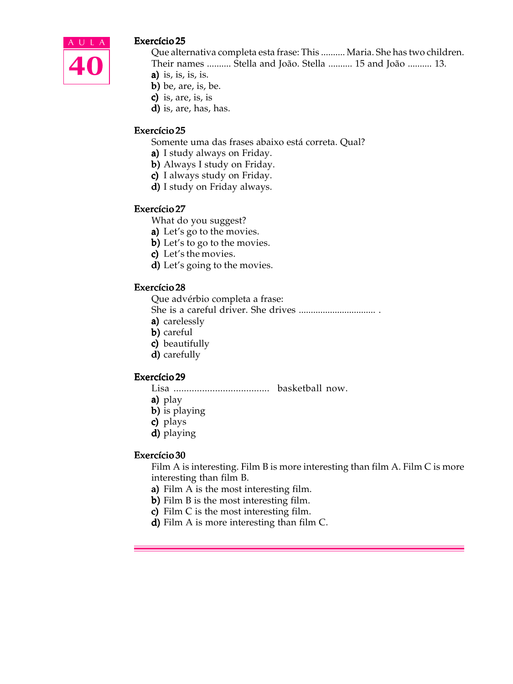

Que alternativa completa esta frase: This .......... Maria. She has two children. Their names .......... Stella and João. Stella .......... 15 and João .......... 13.

- a) is, is, is, is.
- $b)$  be, are, is, be.
- c) is, are, is, is
- d) is, are, has, has.

#### Exercício 25

Somente uma das frases abaixo está correta. Qual?

- a) I study always on Friday.
- b) Always I study on Friday.
- c) I always study on Friday.
- **d)** I study on Friday always.

#### Exercício 27

- What do you suggest?
- a) Let's go to the movies.
- b) Let's to go to the movies.
- c) Let's the movies.
- d) Let's going to the movies.

#### Exercício 28

Que advérbio completa a frase:

- She is a careful driver. She drives ................................ .
- a) carelessly
- b) careful
- c) beautifully
- d) carefully

#### Exercício 29

- Lisa ..................................... basketball now.
- a)  $play$
- **b)** is playing
- c) plays
- d) playing

#### Exercício 30

Film A is interesting. Film B is more interesting than film A. Film C is more interesting than film B.

- a) Film A is the most interesting film.
- b) Film B is the most interesting film.
- c) Film C is the most interesting film.
- d) Film A is more interesting than film  $C$ .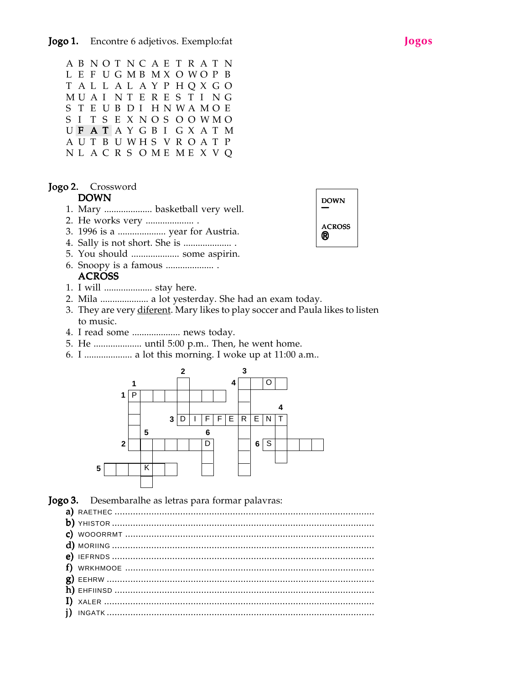AB NOT NCAE T R AT N L E F U G MB MX O WO P B T AL L AL AY P HQX GO MU A I NT E R E S T I NG S T E U B D I H N WA MO E S I T S E X N O S O O WMO UFATAYGBI GXATM A U T B U WH S V R O A T P NL A C R S O ME ME X V Q

#### Jogo 2. Crossword

#### DOWN

- 1. Mary .................... basketball very well.
- 2. He works very .................... .
- 3. 1996 is a .................... year for Austria.
- 4. Sally is not short. She is .................... .
- 5. You should .................... some aspirin.
- 6. Snoopy is a famous .................... .
	- **ACROSS**
- 1. I will .................... stay here.
- 2. Mila .................... a lot yesterday. She had an exam today.
- 3. They are very diferent. Mary likes to play soccer and Paula likes to listen to music.
- 4. I read some .................... news today.
- 5. He .................... until 5:00 p.m.. Then, he went home.
- 6. I .................... a lot this morning. I woke up at 11:00 a.m..



Jogo 3. Desembaralhe as letras para formar palavras: